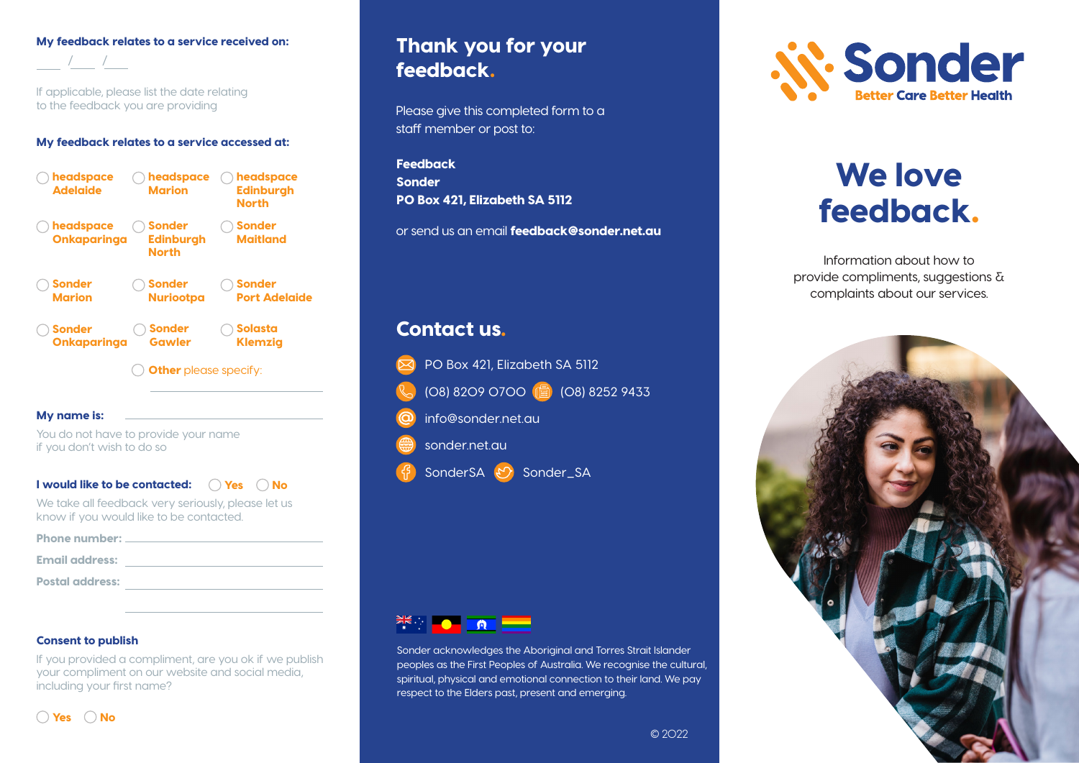### My feedback relates to a service received on:

If applicable, please list the date relating to the feedback you are providing

### My feedback relates to a service accessed at:



#### My name is:

/ /

You do not have to provide your name if you don't wish to do so

### I would like to be contacted:  $\quad\bigcirc$  Yes  $\quad\bigcirc$  No

We take all feedback very seriously, please let us know if you would like to be contacted.

| <b>Phone number:</b>   |  |
|------------------------|--|
|                        |  |
| <b>Email address:</b>  |  |
|                        |  |
| <b>Postal address:</b> |  |
|                        |  |

#### Consent to publish

If you provided a compliment, are you ok if we publish your compliment on our website and social media, including your first name?

## $\bigcap$  Yes  $\bigcap$  No

## Thank you for your feedback.

Please give this completed form to a staff member or post to:

**Feedback** Sonder PO Box 421, Elizabeth SA 5112

or send us an email **feedback@sonder.net.au** 

## Contact us.





Sonder acknowledges the Aboriginal and Torres Strait Islander peoples as the First Peoples of Australia. We recognise the cultural, spiritual, physical and emotional connection to their land. We pay respect to the Elders past, present and emerging.



# We love feedback.

Information about how to provide compliments, suggestions & complaints about our services.